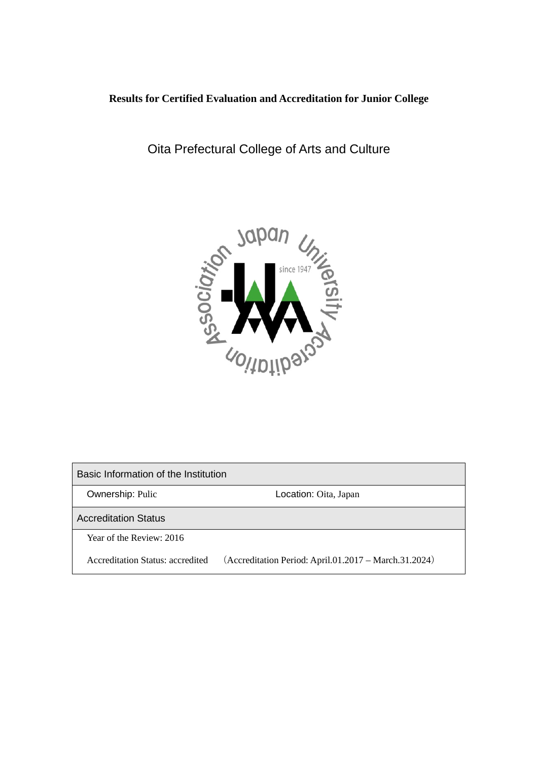# **Results for Certified Evaluation and Accreditation for Junior College**

Oita Prefectural College of Arts and Culture



Basic Information of the Institution **Ownership: Pulic Community Constraints: Community Constraints: Oita, Japan** Accreditation Status Year of the Review: 2016 Accreditation Status: accredited (Accreditation Period: April.01.2017 – March.31.2024)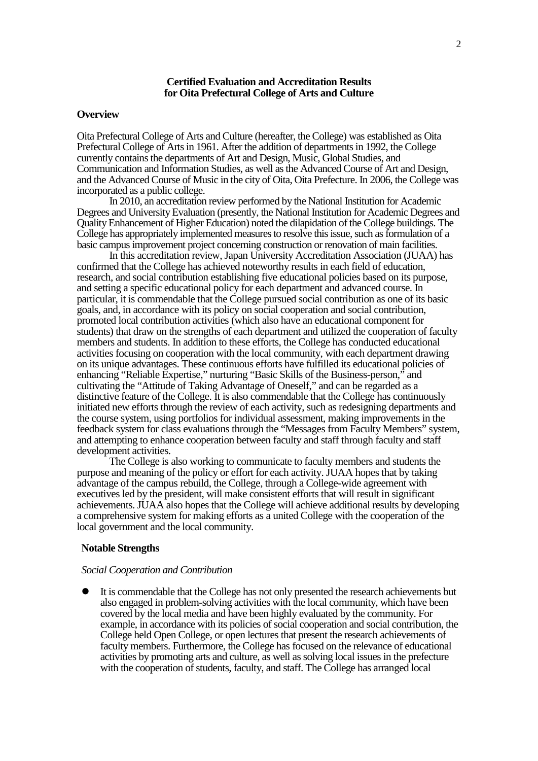#### **Certified Evaluation and Accreditation Results for Oita Prefectural College of Arts and Culture**

#### **Overview**

Oita Prefectural College of Arts and Culture (hereafter, the College) was established as Oita Prefectural College of Arts in 1961. After the addition of departments in 1992, the College currently contains the departments of Art and Design, Music, Global Studies, and Communication and Information Studies, as well as the Advanced Course of Art and Design, and the Advanced Course of Music in the city of Oita, Oita Prefecture. In 2006, the College was incorporated as a public college.

In 2010, an accreditation review performed by the National Institution for Academic Degrees and University Evaluation (presently, the National Institution for Academic Degrees and Quality Enhancement of Higher Education) noted the dilapidation of the College buildings. The College has appropriately implemented measures to resolve this issue, such as formulation of a basic campus improvement project concerning construction or renovation of main facilities.

In this accreditation review, Japan University Accreditation Association (JUAA) has confirmed that the College has achieved noteworthy results in each field of education, research, and social contribution establishing five educational policies based on its purpose, and setting a specific educational policy for each department and advanced course. In particular, it is commendable that the College pursued social contribution as one of its basic goals, and, in accordance with its policy on social cooperation and social contribution, promoted local contribution activities (which also have an educational component for students) that draw on the strengths of each department and utilized the cooperation of faculty members and students. In addition to these efforts, the College has conducted educational activities focusing on cooperation with the local community, with each department drawing on its unique advantages. These continuous efforts have fulfilled its educational policies of enhancing "Reliable Expertise," nurturing "Basic Skills of the Business-person," and cultivating the "Attitude of Taking Advantage of Oneself," and can be regarded as a distinctive feature of the College. It is also commendable that the College has continuously initiated new efforts through the review of each activity, such as redesigning departments and the course system, using portfolios for individual assessment, making improvements in the feedback system for class evaluations through the "Messages from Faculty Members" system, and attempting to enhance cooperation between faculty and staff through faculty and staff development activities.

The College is also working to communicate to faculty members and students the purpose and meaning of the policy or effort for each activity. JUAA hopes that by taking advantage of the campus rebuild, the College, through a College-wide agreement with executives led by the president, will make consistent efforts that will result in significant achievements.JUAA also hopes that the College will achieve additional results by developing a comprehensive system for making efforts as a united College with the cooperation of the local government and the local community.

### **Notable Strengths**

#### *Social Cooperation and Contribution*

 It is commendable that the College has not only presented the research achievements but also engaged in problem-solving activities with the local community, which have been covered by the local media and have been highly evaluated by the community. For example, in accordance with its policies of social cooperation and social contribution, the College held Open College, or open lectures that present the research achievements of faculty members. Furthermore, the College has focused on the relevance of educational activities by promoting arts and culture, as well as solving local issues in the prefecture with the cooperation of students, faculty, and staff. The College has arranged local